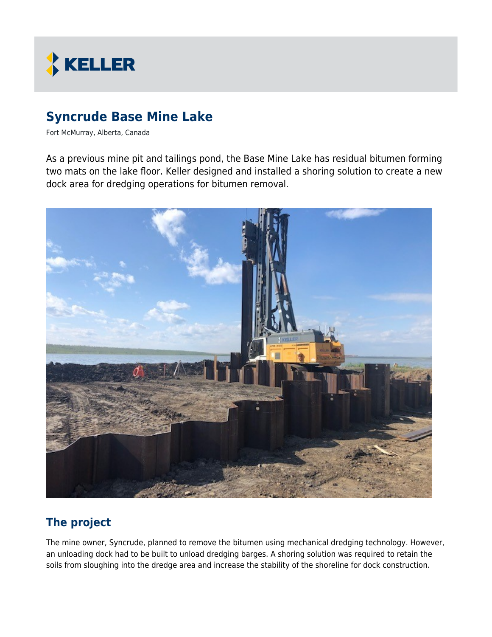

# **Syncrude Base Mine Lake**

Fort McMurray, Alberta, Canada

As a previous mine pit and tailings pond, the Base Mine Lake has residual bitumen forming two mats on the lake floor. Keller designed and installed a shoring solution to create a new dock area for dredging operations for bitumen removal.



## **The project**

The mine owner, Syncrude, planned to remove the bitumen using mechanical dredging technology. However, an unloading dock had to be built to unload dredging barges. A shoring solution was required to retain the soils from sloughing into the dredge area and increase the stability of the shoreline for dock construction.